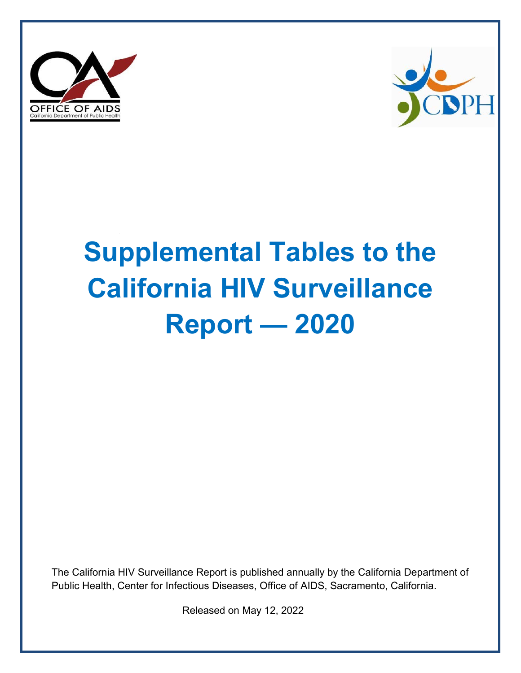



# **Supplemental Tables to the California HIV Surveillance Report — 2020**

The California HIV Surveillance Report is published annually by the California Department of Public Health, Center for Infectious Diseases, Office of AIDS, Sacramento, California.

Released on May 12, 2022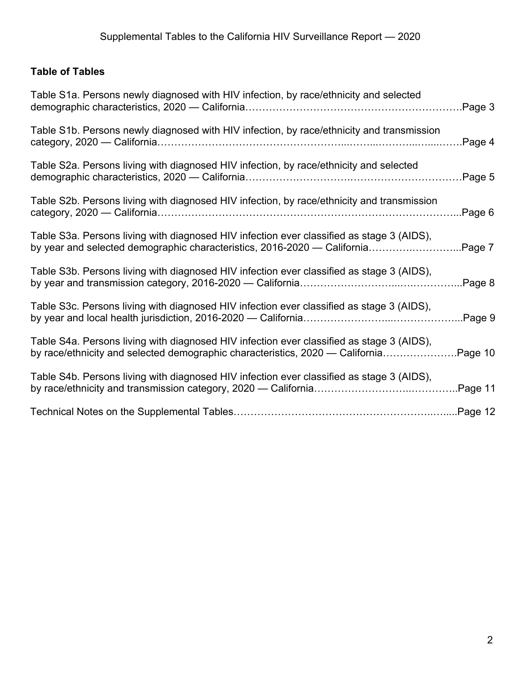# **Table of Tables**

| Table S1a. Persons newly diagnosed with HIV infection, by race/ethnicity and selected                                                                                      | Page 3  |
|----------------------------------------------------------------------------------------------------------------------------------------------------------------------------|---------|
| Table S1b. Persons newly diagnosed with HIV infection, by race/ethnicity and transmission                                                                                  | Page 4  |
| Table S2a. Persons living with diagnosed HIV infection, by race/ethnicity and selected                                                                                     | Page 5  |
| Table S2b. Persons living with diagnosed HIV infection, by race/ethnicity and transmission                                                                                 | Page 6  |
| Table S3a. Persons living with diagnosed HIV infection ever classified as stage 3 (AIDS),<br>by year and selected demographic characteristics, 2016-2020 — California      | Page 7  |
| Table S3b. Persons living with diagnosed HIV infection ever classified as stage 3 (AIDS),                                                                                  | Page 8  |
| Table S3c. Persons living with diagnosed HIV infection ever classified as stage 3 (AIDS),                                                                                  | Page 9  |
| Table S4a. Persons living with diagnosed HIV infection ever classified as stage 3 (AIDS),<br>by race/ethnicity and selected demographic characteristics, 2020 — California | Page 10 |
| Table S4b. Persons living with diagnosed HIV infection ever classified as stage 3 (AIDS),                                                                                  | Page 11 |
|                                                                                                                                                                            |         |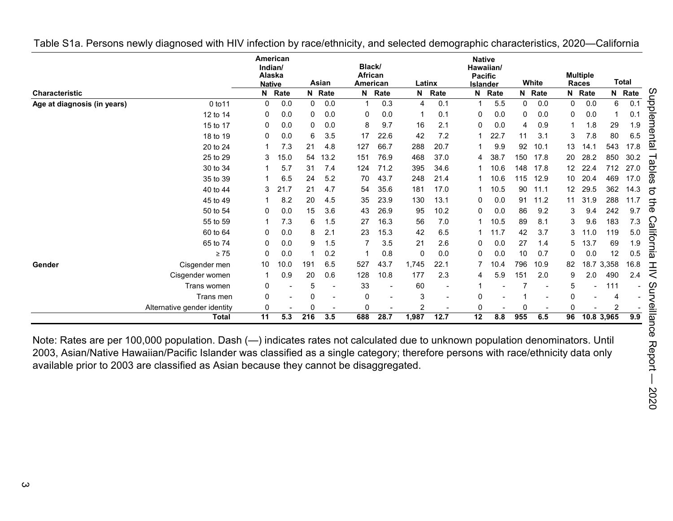|                             |                             | Indian/<br>Alaska<br><b>Native</b> | American |                  | Asian                    | Black/<br>African<br>American |      |       | Latinx | <b>Native</b><br>Hawaiian/<br><b>Pacific</b><br><b>Islander</b> |      |     | White  |              | <b>Multiple</b><br>Races |            | <b>Total</b>                |
|-----------------------------|-----------------------------|------------------------------------|----------|------------------|--------------------------|-------------------------------|------|-------|--------|-----------------------------------------------------------------|------|-----|--------|--------------|--------------------------|------------|-----------------------------|
| <b>Characteristic</b>       |                             |                                    | N Rate   |                  | N Rate                   | N                             | Rate |       | N Rate | N                                                               | Rate |     | N Rate |              | N Rate                   |            | N Rate                      |
| Age at diagnosis (in years) | 0 to 11                     | 0                                  | 0.0      | 0                | 0.0                      |                               | 0.3  | 4     | 0.1    |                                                                 | 5.5  | 0   | 0.0    | $\mathbf{0}$ | 0.0                      | 6          | Supple<br>0.1               |
|                             | 12 to 14                    | 0                                  | 0.0      | 0                | 0.0                      | 0                             | 0.0  |       | 0.1    | 0                                                               | 0.0  | 0   | 0.0    | 0            | 0.0                      |            | 0.1                         |
|                             | 15 to 17                    | 0                                  | 0.0      | 0                | 0.0                      | 8                             | 9.7  | 16    | 2.1    | $\Omega$                                                        | 0.0  | 4   | 0.9    |              | 1.8                      | 29         | 1.9                         |
|                             | 18 to 19                    | 0                                  | 0.0      | 6                | 3.5                      | 17                            | 22.6 | 42    | 7.2    |                                                                 | 22.7 | 11  | 3.1    | 3            | 7.8                      | 80         | mental<br>6.5               |
|                             | 20 to 24                    |                                    | 7.3      | 21               | 4.8                      | 127                           | 66.7 | 288   | 20.7   |                                                                 | 9.9  | 92  | 10.1   | 13           | 14.1                     | 543        | 17.8                        |
|                             | 25 to 29                    | 3                                  | 15.0     | 54               | 13.2                     | 151                           | 76.9 | 468   | 37.0   | 4                                                               | 38.7 | 150 | 17.8   | 20           | 28.2                     | 850        | 30.2<br>—                   |
|                             | 30 to 34                    |                                    | 5.7      | 31               | 7.4                      | 124                           | 71.2 | 395   | 34.6   |                                                                 | 10.6 | 148 | 17.8   | 12           | 22.4                     | 712        | apl<br>27.0                 |
|                             | 35 to 39                    |                                    | 6.5      | 24               | 5.2                      | 70                            | 43.7 | 248   | 21.4   |                                                                 | 10.6 | 115 | 12.9   | 10           | 20.4                     | 469        | စ္ၿ<br>17.0                 |
|                             | 40 to 44                    | 3                                  | 21.7     | 21               | 4.7                      | 54                            | 35.6 | 181   | 17.0   |                                                                 | 10.5 | 90  | 11.1   | 12           | 29.5                     | 362        | 14.3<br>ಠ                   |
|                             | 45 to 49                    |                                    | 8.2      | 20               | 4.5                      | 35                            | 23.9 | 130   | 13.1   | 0                                                               | 0.0  | 91  | 11.2   | 11           | 31.9                     | 288        | 11.7<br>宁                   |
|                             | 50 to 54                    | 0                                  | 0.0      | 15               | 3.6                      | 43                            | 26.9 | 95    | 10.2   | 0                                                               | 0.0  | 86  | 9.2    | 3            | 9.4                      | 242        | <b>D</b><br>9.7             |
|                             | 55 to 59                    |                                    | 7.3      | 6                | 1.5                      | 27                            | 16.3 | 56    | 7.0    |                                                                 | 10.5 | 89  | 8.1    | 3            | 9.6                      | 183        | C<br>7.3<br>$\omega$        |
|                             | 60 to 64                    | 0                                  | 0.0      | 8                | 2.1                      | 23                            | 15.3 | 42    | 6.5    |                                                                 | 11.7 | 42  | 3.7    | 3            | 11.0                     | 119        | $5.0\,$                     |
|                             | 65 to 74                    | 0                                  | 0.0      | 9                | 1.5                      |                               | 3.5  | 21    | 2.6    | 0                                                               | 0.0  | 27  | 1.4    | 5            | 13.7                     | 69         | lliforn<br>1.9              |
|                             | $\geq 75$                   | 0                                  | 0.0      |                  | 0.2                      |                               | 0.8  | 0     | 0.0    | 0                                                               | 0.0  | 10  | 0.7    | 0            | 0.0                      | 12         | 0.5<br>$\bar{\bar{\omega}}$ |
| Gender                      | Cisgender men               | 10                                 | 10.0     | 191              | 6.5                      | 527                           | 43.7 | 1,745 | 22.1   |                                                                 | 10.4 | 796 | 10.9   | 82           |                          | 18.7 3,358 | 16.8<br>H                   |
|                             | Cisgender women             |                                    | 0.9      | 20               | 0.6                      | 128                           | 10.8 | 177   | 2.3    | 4                                                               | 5.9  | 151 | 2.0    | 9            | 2.0                      | 490        | 2.4<br>$\,<\,$              |
|                             | Trans women                 | 0                                  |          | 5                | $\overline{\phantom{0}}$ | 33                            |      | 60    |        |                                                                 |      |     |        | 5            |                          | 111        | ഗ                           |
|                             | Trans men                   | 0                                  |          | 0                |                          | 0                             |      | 3     |        | 0                                                               |      |     |        | 0            |                          |            | È                           |
|                             | Alternative gender identity | 0                                  |          | O                |                          | 0                             |      | 2     |        | $\Omega$                                                        |      | U   |        | 0            |                          |            |                             |
|                             | <b>Total</b>                | $\overline{11}$                    | 5.3      | $\overline{216}$ | 3.5                      | 688                           | 28.7 | 1,987 | 12.7   | $\overline{12}$                                                 | 8.8  | 955 | 6.5    | 96           |                          | 10.8 3,965 | eilla<br>9.9                |

<span id="page-2-0"></span>Table S1a. Persons newly diagnosed with HIV infection by race/ethnicity, and selected demographic characteristics, 2020—California

Note: Rates are per 100,000 population. Dash (—) indicates rates not calculated due to unknown population denominators. Until 2003, Asian/Native Hawaiian/Pacific Islander was classified as a single category; therefore persons with race/ethnicity data only available prior to 2003 are classified as Asian because they cannot be disaggregated.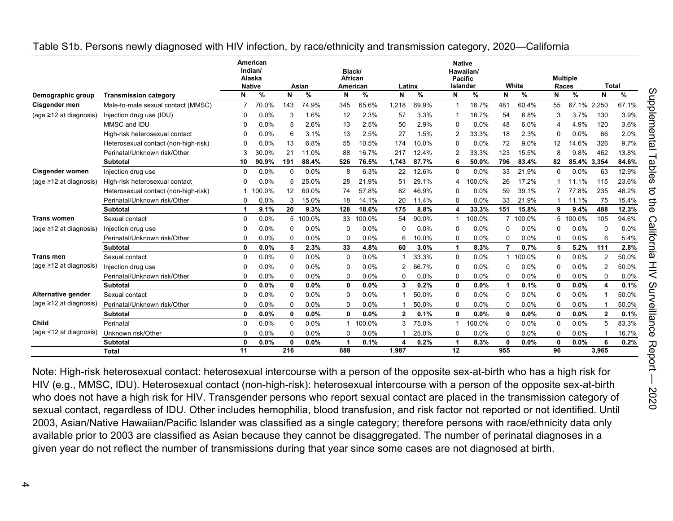|                              |                                      |          | American<br>Indian/<br>Alaska<br><b>Native</b> |              | Asian  | Black/<br>African<br>American |        | Latinx       |       | <b>Native</b><br><b>Pacific</b><br>Islander | Hawaiian/ |              | White  |          | <b>Multiple</b><br>Races | <b>Total</b>   |       |
|------------------------------|--------------------------------------|----------|------------------------------------------------|--------------|--------|-------------------------------|--------|--------------|-------|---------------------------------------------|-----------|--------------|--------|----------|--------------------------|----------------|-------|
| Demographic group            | <b>Transmission category</b>         | N        | %                                              | N            | %      | N                             | %      | N            | $\%$  | N                                           | %         | N            | %      | N        | %                        | N              | %     |
| Cisgender men                | Male-to-male sexual contact (MMSC)   |          | 70.0%                                          | 143          | 74.9%  | 345                           | 65.6%  | 1.218        | 69.9% |                                             | 16.7%     | 481          | 60.4%  | 55       | 67.1% 2,250              |                | 67.1% |
| (age ≥12 at diagnosis)       | Injection drug use (IDU)             | $\Omega$ | 0.0%                                           | 3            | 1.6%   | 12                            | 2.3%   | 57           | 3.3%  |                                             | 16.7%     | 54           | 6.8%   | 3        | 3.7%                     | 130            | 3.9%  |
|                              | MMSC and IDU                         | O        | 0.0%                                           | 5            | 2.6%   | 13                            | 2.5%   | 50           | 2.9%  | 0                                           | 0.0%      | 48           | 6.0%   |          | 4.9%                     | 120            | 3.6%  |
|                              | High-risk heterosexual contact       | ŋ        | 0.0%                                           | 6            | 3.1%   | 13                            | 2.5%   | 27           | 1.5%  | 2                                           | 33.3%     | 18           | 2.3%   | $\Omega$ | 0.0%                     | 66             | 2.0%  |
|                              | Heterosexual contact (non-high-risk) | $\Omega$ | 0.0%                                           | 13           | 6.8%   | 55                            | 10.5%  | 174          | 10.0% | $\Omega$                                    | 0.0%      | 72           | 9.0%   | 12       | 14.6%                    | 326            | 9.7%  |
|                              | Perinatal/Unknown risk/Other         | 3        | 30.0%                                          | 21           | 11.0%  | 88                            | 16.7%  | 217          | 12.4% |                                             | 33.3%     | 123          | 15.5%  | 8        | 9.8%                     | 462            | 13.8% |
|                              | <b>Subtotal</b>                      | 10       | 90.9%                                          | 191          | 88.4%  | 526                           | 76.5%  | 1.743        | 87.7% | 6                                           | 50.0%     | 796          | 83.4%  | 82       | 85.4% 3.354              |                | 84.6% |
| <b>Cisgender women</b>       | Injection drug use                   | $\Omega$ | 0.0%                                           | $\mathbf 0$  | 0.0%   | 8                             | 6.3%   | 22           | 12.6% | $\Omega$                                    | 0.0%      | 33           | 21.9%  | $\Omega$ | 0.0%                     | 63             | 12.9% |
| (age ≥12 at diagnosis)       | High-risk heterosexual contact       | $\Omega$ | 0.0%                                           | 5            | 25.0%  | 28                            | 21.9%  | 51           | 29.1% | 4                                           | 100.0%    | 26           | 17.2%  |          | 11.1%                    | 115            | 23.6% |
|                              | Heterosexual contact (non-high-risk) |          | 100.0%                                         | 12           | 60.0%  | 74                            | 57.8%  | 82           | 46.9% | $\Omega$                                    | 0.0%      | 59           | 39.1%  |          | 77.8%                    | 235            | 48.2% |
|                              | Perinatal/Unknown risk/Other         | 0        | 0.0%                                           | 3            | 15.0%  | 18                            | 14.1%  | 20           | 11.4% | $\Omega$                                    | 0.0%      | 33           | 21.9%  |          | 11.1%                    | 75             | 15.4% |
|                              | Subtotal                             | 1        | 9.1%                                           | 20           | 9.3%   | 128                           | 18.6%  | 175          | 8.8%  | 4                                           | 33.3%     | 151          | 15.8%  | 9        | 9.4%                     | 488            | 12.3% |
| <b>Trans women</b>           | Sexual contact                       | $\Omega$ | 0.0%                                           | 5            | 100.0% | 33                            | 100.0% | 54           | 90.0% |                                             | 100.0%    | 7            | 100.0% | 5        | 100.0%                   | 105            | 94.6% |
| (age ≥12 at diagnosis)       | Injection drug use                   | $\Omega$ | 0.0%                                           | $\Omega$     | 0.0%   | 0                             | 0.0%   | $\Omega$     | 0.0%  | $\Omega$                                    | 0.0%      | $\Omega$     | 0.0%   | $\Omega$ | 0.0%                     | $\Omega$       | 0.0%  |
|                              | Perinatal/Unknown risk/Other         | $\Omega$ | 0.0%                                           | $\Omega$     | 0.0%   | 0                             | 0.0%   | 6            | 10.0% | $\Omega$                                    | 0.0%      | O            | 0.0%   | $\Omega$ | 0.0%                     | 6              | 5.4%  |
|                              | <b>Subtotal</b>                      | 0        | 0.0%                                           | 5            | 2.3%   | 33                            | 4.8%   | 60           | 3.0%  | -1                                          | 8.3%      | 7            | 0.7%   | 5        | 5.2%                     | 111            | 2.8%  |
| <b>Trans men</b>             | Sexual contact                       | $\Omega$ | 0.0%                                           | $\Omega$     | 0.0%   | $\mathbf{0}$                  | 0.0%   |              | 33.3% | $\Omega$                                    | 0.0%      | 1            | 100.0% | $\Omega$ | 0.0%                     | $\overline{2}$ | 50.0% |
| (age $\geq$ 12 at diagnosis) | Injection drug use                   | 0        | 0.0%                                           | 0            | 0.0%   | 0                             | 0.0%   | 2            | 66.7% | $\Omega$                                    | 0.0%      | 0            | 0.0%   | $\Omega$ | 0.0%                     | 2              | 50.0% |
|                              | Perinatal/Unknown risk/Other         | $\Omega$ | 0.0%                                           | $\Omega$     | 0.0%   | $\Omega$                      | 0.0%   | $\Omega$     | 0.0%  | $\Omega$                                    | 0.0%      | 0            | 0.0%   | $\Omega$ | 0.0%                     | $\Omega$       | 0.0%  |
|                              | <b>Subtotal</b>                      | 0        | 0.0%                                           | 0            | 0.0%   | $\mathbf{0}$                  | 0.0%   | 3            | 0.2%  | 0                                           | 0.0%      | 1            | 0.1%   | 0        | 0.0%                     | 4              | 0.1%  |
| Alternative gender           | Sexual contact                       | $\Omega$ | 0.0%                                           | $\mathbf 0$  | 0.0%   | 0                             | 0.0%   |              | 50.0% | $\Omega$                                    | 0.0%      | $\Omega$     | 0.0%   | $\Omega$ | 0.0%                     | -1             | 50.0% |
| (age ≥12 at diagnosis)       | Perinatal/Unknown risk/Other         | $\Omega$ | 0.0%                                           | $\Omega$     | 0.0%   | 0                             | 0.0%   |              | 50.0% | $\Omega$                                    | 0.0%      | $\Omega$     | 0.0%   | $\Omega$ | 0.0%                     |                | 50.0% |
|                              | <b>Subtotal</b>                      | 0        | 0.0%                                           | $\mathbf{0}$ | 0.0%   | $\mathbf{0}$                  | 0.0%   | $\mathbf{2}$ | 0.1%  | $\mathbf{0}$                                | 0.0%      | 0            | 0.0%   | 0        | 0.0%                     | $\mathbf{2}$   | 0.1%  |
| Child                        | Perinatal                            | 0        | 0.0%                                           | $\mathbf 0$  | 0.0%   | -1                            | 100.0% | 3            | 75.0% |                                             | 100.0%    | 0            | 0.0%   | 0        | 0.0%                     | 5              | 83.3% |
| (age <12 at diagnosis)       | Unknown risk/Other                   | $\Omega$ | 0.0%                                           | $\Omega$     | 0.0%   | 0                             | 0.0%   |              | 25.0% | $\Omega$                                    | 0.0%      | 0            | 0.0%   | $\Omega$ | 0.0%                     |                | 16.7% |
|                              | <b>Subtotal</b>                      | 0        | 0.0%                                           | $\mathbf 0$  | 0.0%   | -1                            | 0.1%   | 4            | 0.2%  |                                             | 8.3%      | $\mathbf{0}$ | 0.0%   | 0        | 0.0%                     | 6              | 0.2%  |
|                              | Total                                | 11       |                                                | 216          |        | 688                           |        | 1,987        |       | 12                                          |           | 955          |        | 96       |                          | 3.965          |       |

#### <span id="page-3-0"></span>Table S1b. Persons newly diagnosed with HIV infection, by race/ethnicity and transmission category, 2020—California

Note: High-risk heterosexual contact: heterosexual intercourse with a person of the opposite sex-at-birth who has a high risk for HIV (e.g., MMSC, IDU). Heterosexual contact (non-high-risk): heterosexual intercourse with a person of the opposite sex-at-birth who does not have a high risk for HIV. Transgender persons who report sexual contact are placed in the transmission category of sexual contact, regardless of IDU. Other includes hemophilia, blood transfusion, and risk factor not reported or not identified. Until 2003, Asian/Native Hawaiian/Pacific Islander was classified as a single category; therefore persons with race/ethnicity data only available prior to 2003 are classified as Asian because they cannot be disaggregated. The number of perinatal diagnoses in a given year do not reflect the number of transmissions during that year since some cases are not diagnosed at birth.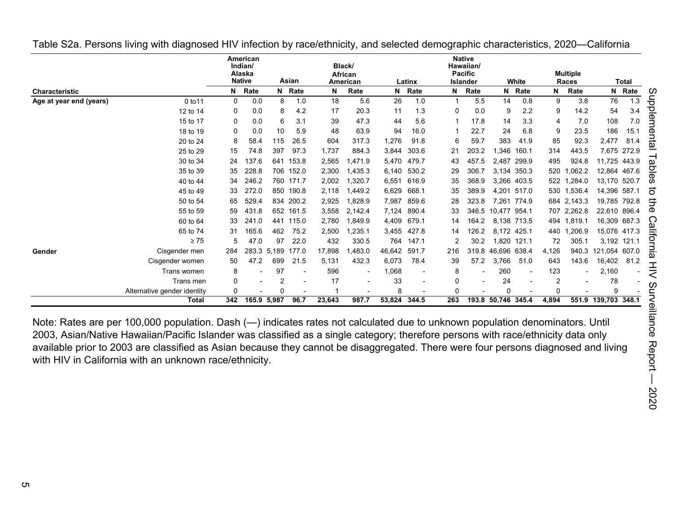|                         |                             |              | American<br>Indian/<br>Alaska<br><b>Native</b> |             | Asian     |        | Black/<br>African<br>American |              | Latinx |              | <b>Native</b><br>Hawaiian/<br><b>Pacific</b><br><b>Islander</b> |                    | White       |       | <b>Multiple</b><br>Races |                     | <b>Total</b> |    |
|-------------------------|-----------------------------|--------------|------------------------------------------------|-------------|-----------|--------|-------------------------------|--------------|--------|--------------|-----------------------------------------------------------------|--------------------|-------------|-------|--------------------------|---------------------|--------------|----|
| <b>Characteristic</b>   |                             | N            | Rate                                           | N           | Rate      | N      | Rate                          | N            | Rate   | N            | Rate                                                            |                    | N Rate      | N     | Rate                     |                     | N Rate       | U. |
| Age at year end (years) | 0 to 11                     | $\Omega$     | 0.0                                            | 8           | 1.0       | 18     | 5.6                           | 26           | 1.0    |              | 5.5                                                             | 14                 | 0.8         | 9     | 3.8                      | 76                  | 1.3          | 등  |
|                         | 12 to 14                    | 0            | 0.0                                            | 8           | 4.2       | 17     | 20.3                          | 11           | 1.3    | $\mathbf{0}$ | 0.0                                                             | 9                  | 2.2         | 9     | 14.2                     | 54                  | 3.4          | ᠊ᠣ |
|                         | 15 to 17                    | 0            | 0.0                                            | 6           | 3.1       | 39     | 47.3                          | 44           | 5.6    |              | 17.8                                                            | 14                 | 3.3         | 4     | 7.0                      | 108                 | 7.0          |    |
|                         | 18 to 19                    | 0            | 0.0                                            | 10          | 5.9       | 48     | 63.9                          | 94           | 16.0   |              | 22.7                                                            | 24                 | 6.8         | 9     | 23.5                     | 186                 | 15.1         | መ  |
|                         | 20 to 24                    | 8            | 58.4                                           | 115         | 26.5      | 604    | 317.3                         | 1,276        | 91.8   | 6            | 59.7                                                            | 383                | 41.9        | 85    | 92.3                     | 2,477               | 81.4         |    |
|                         | 25 to 29                    | 15           | 74.8                                           | 397         | 97.3      | 1,737  | 884.3                         | 3,844        | 303.6  | 21           | 203.2                                                           | 1,346              | 160.1       | 314   | 443.5                    |                     | 7,675 272.9  |    |
|                         | 30 to 34                    | 24           | 137.6                                          | 641         | 153.8     | 2,565  | 1,471.9                       | 5,470        | 479.7  | 43           | 457.5                                                           | 2,487              | 299.9       | 495   | 924.8                    | 11,725 443.9        |              |    |
|                         | 35 to 39                    | 35           | 228.8                                          | 706         | 152.0     | 2,300  | 1,435.3                       | 6,140        | 530.2  | 29           | 306.7                                                           | 3,134              | 350.3       | 520   | 1,062.2                  |                     | 12,864 467.6 |    |
|                         | 40 to 44                    | 34           | 246.2                                          |             | 760 171.7 | 2,002  | 1,320.7                       | 6,551        | 616.9  | 35           | 368.9                                                           |                    | 3,266 403.5 | 522   | .284.0                   | 13,170 520.7        |              |    |
|                         | 45 to 49                    | 33           | 272.0                                          | 850         | 190.8     | 2,118  | 1.449.2                       | 6,629        | 668.1  | 35           | 389.9                                                           |                    | 4.201 517.0 | 530   | 1,536.4                  | 14,396 587.1        |              | దె |
|                         | 50 to 54                    | 65           | 529.4                                          | 834         | 200.2     | 2,925  | 1,828.9                       | 7,987        | 859.6  | 28           | 323.8                                                           |                    | 7.261 774.9 | 684   | 2,143.3                  |                     | 19,785 792.8 | ⇉  |
|                         | 55 to 59                    | 59           | 431.8                                          | 652         | 161.5     | 3,558  | 2,142.4                       | 7,124        | 890.4  | 33           | 346.5                                                           | 10,477 954.1       |             |       | 707 2,262.8              | 22,610 896.4        |              | መ  |
|                         | 60 to 64                    | 33           | 241.0                                          | 441         | 115.0     | 2,780  | 1,849.9                       | 4,409        | 679.1  | 14           | 164.2                                                           |                    | 8,138 713.5 | 494   | 1,819.1                  | 16,309 687.3        |              |    |
|                         | 65 to 74                    | 31           | 165.6                                          | 462         | 75.2      | 2,500  | 1,235.1                       | 3,455        | 427.8  | 14           | 126.2                                                           | 8,172 425.1        |             | 440   | ,206.9                   | 15,076 417.3        |              |    |
|                         | $\geq 75$                   | 5            | 47.0                                           | 97          | 22.0      | 432    | 330.5                         | 764          | 147.1  |              | 30.2                                                            |                    | 1,820 121.1 | 72    | 305.1                    |                     | 3,192 121.1  |    |
| Gender                  | Cisgender men               | 284          |                                                | 283.3 5.189 | 177.0     | 17,898 | 1,483.0                       | 46,642       | 591.7  | 216          | 319.8                                                           | 46.696 638.4       |             | 4,126 | 940.3                    | 121,054 607.0       |              |    |
|                         | Cisgender women             | 50           | 47.2                                           | 699         | 21.5      | 5,131  | 432.3                         | 6,073        | 78.4   | 39           | 57.2                                                            | 3,766              | 51.0        | 643   | 143.6                    | 16,402              | 81.2         |    |
|                         | Trans women                 | 8            |                                                | 97          |           | 596    | $\overline{\phantom{a}}$      | 1,068        |        | 8            |                                                                 | 260                |             | 123   |                          | 2,160               |              |    |
|                         | Trans men                   | 0            |                                                | 2           |           | 17     | $\blacksquare$                | 33           |        | 0            |                                                                 | 24                 |             |       |                          | 78                  |              |    |
|                         | Alternative gender identity | $\mathbf{0}$ |                                                | $\Omega$    |           |        |                               | 8            |        | $\Omega$     |                                                                 | O                  |             | n     |                          | 9                   |              | ⊂  |
|                         | Total                       | 342          |                                                | 165.9 5,987 | 96.7      | 23,643 | 987.7                         | 53,824 344.5 |        | 263          |                                                                 | 193.8 50,746 345.4 |             | 4,894 |                          | 551.9 139,703 348.1 |              |    |

<span id="page-4-0"></span>Table S2a. Persons living with diagnosed HIV infection by race/ethnicity, and selected demographic characteristics, 2020—California

Note: Rates are per 100,000 population. Dash (—) indicates rates not calculated due to unknown population denominators. Until 2003, Asian/Native Hawaiian/Pacific Islander was classified as a single category; therefore persons with race/ethnicity data only available prior to 2003 are classified as Asian because they cannot be disaggregated. There were four persons diagnosed and living with HIV in California with an unknown race/ethnicity.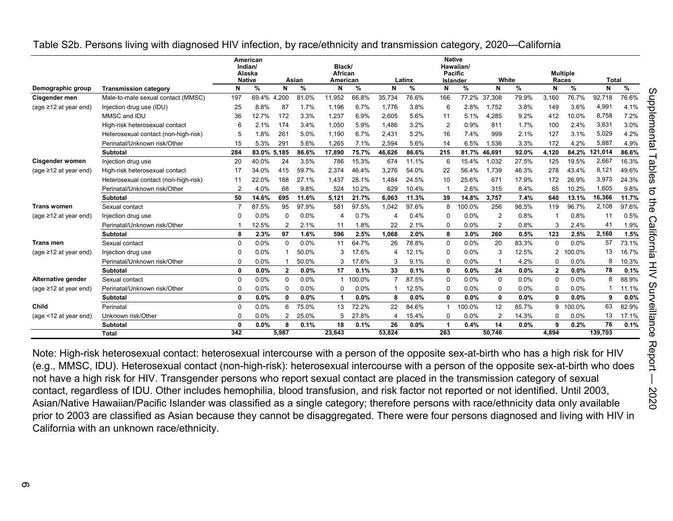<span id="page-5-0"></span>

|                             |                                      | American<br>Indian/<br>Alaska<br><b>Native</b><br>Asian |       | Black/<br>African |               |              |        | <b>Native</b><br>Pacific | Hawaiian/ |                |          |                | <b>Multiple</b> |              |               |              |       |
|-----------------------------|--------------------------------------|---------------------------------------------------------|-------|-------------------|---------------|--------------|--------|--------------------------|-----------|----------------|----------|----------------|-----------------|--------------|---------------|--------------|-------|
|                             |                                      |                                                         |       |                   |               | American     |        |                          | Latinx    |                | Islander |                | White           | Races        |               | <b>Total</b> |       |
| Demographic group           | <b>Transmission category</b>         | N                                                       | %     | N                 | $\frac{9}{6}$ | N            | %      | N                        | %         | N              | %        | N              | %               | N            | $\frac{9}{6}$ | N            | %     |
| Cisgender men               | Male-to-male sexual contact (MMSC)   | 197                                                     | 69.4% | 4,200             | 81.0%         | 11,952       | 66.8%  | 35,734                   | 76.6%     | 166            | 77.2%    | 37,308         | 79.9%           | 3,160        | 76.7%         | 92,718       | 76.6% |
| (age $\geq$ 12 at year end) | Injection drug use (IDU)             | 25                                                      | 8.8%  | 87                | 1.7%          | 1,196        | 6.7%   | 1.776                    | 3.8%      | 6              | 2.8%     | 1.752          | 3.8%            | 149          | 3.6%          | 4.991        | 4.1%  |
|                             | MMSC and IDU                         | 36                                                      | 12.7% | 172               | 3.3%          | 1,237        | 6.9%   | 2.605                    | 5.6%      | 11             | 5.1%     | ,285<br>Δ      | 9.2%            | 412          | 10.0%         | 8.758        | 7.2%  |
|                             | High-risk heterosexual contact       | 6                                                       | 2.1%  | 174               | 3.4%          | 1.050        | 5.9%   | 1.486                    | 3.2%      | $\overline{2}$ | 0.9%     | 811            | 1.7%            | 100          | 2.4%          | 3.631        | 3.0%  |
|                             | Heterosexual contact (non-high-risk) | 5                                                       | 1.8%  | 26 <sup>′</sup>   | 5.0%          | 1.190        | 6.7%   | 2.431                    | 5.2%      | 16             | 7.4%     | 999            | 2.1%            | 127          | 3.1%          | 5.029        | 4.2%  |
|                             | Perinatal/Unknown risk/Other         | 15                                                      | 5.3%  | 291               | 5.6%          | 1.265        | 7.1%   | 2.594                    | 5.6%      | 14             | 6.5%     | ,536           | 3.3%            | 172          | 4.2%          | 5.887        | 4.9%  |
|                             | <b>Subtotal</b>                      | 284                                                     | 83.0% | 5,185             | 86.6%         | 17.890       | 75.7%  | 46,626                   | 86.6%     | 215            | 81.7%    | 46,691         | 92.0%           | 4.120        | 84.2%         | 121.014      | 86.6% |
| <b>Cisgender women</b>      | Injection drug use                   | 20                                                      | 40.0% | 24                | 3.5%          | 786          | 15.3%  | 674                      | 11.1%     | 6              | 15.4%    | 1,032          | 27.5%           | 125          | 19.5%         | 2,667        | 16.3% |
| (age $\geq$ 12 at year end) | High-risk heterosexual contact       | 17                                                      | 34.0% | 415               | 59.7%         | 2.374        | 46.4%  | 3.276                    | 54.0%     | 22             | 56.4%    | 1.739          | 46.3%           | 278          | 43.4%         | 8,121        | 49.6% |
|                             | Heterosexual contact (non-high-risk) | 11                                                      | 22.0% | 188               | 27.1%         | 1.437        | 28.1%  | 1.484                    | 24.5%     | 10             | 25.6%    | 671            | 17.9%           | 172          | 26.9%         | 3,973        | 24.3% |
|                             | Perinatal/Unknown risk/Other         | $\overline{2}$                                          | 4.0%  | 68                | 9.8%          | 524          | 10.2%  | 629                      | 10.4%     |                | 2.6%     | 315            | 8.4%            | 65           | 10.2%         | 1.605        | 9.8%  |
|                             | <b>Subtotal</b>                      | 50                                                      | 14.6% | 695               | 11.6%         | 5.121        | 21.7%  | 6.063                    | 11.3%     | 39             | 14.8%    | 3,757          | 7.4%            | 640          | 13.1%         | 16,366       | 11.7% |
| <b>Trans women</b>          | Sexual contact                       | $\overline{7}$                                          | 87.5% | 95                | 97.9%         | 581          | 97.5%  | 1.042                    | 97.6%     | 8              | 100.0%   | 256            | 98.5%           | 119          | 96.7%         | 2,108        | 97.6% |
| (age $\geq$ 12 at year end) | Injection drug use                   |                                                         | 0.0%  | $\Omega$          | 0.0%          |              | 0.7%   |                          | 0.4%      | 0              | 0.0%     | $\overline{2}$ | 0.8%            |              | 0.8%          | 11           | 0.5%  |
|                             | Perinatal/Unknown risk/Other         |                                                         | 12.5% | 2                 | 2.1%          | -11          | 1.8%   | 22                       | 2.1%      | 0              | 0.0%     | $\overline{2}$ | 0.8%            | 3            | 2.4%          | 41           | 1.9%  |
|                             | <b>Subtotal</b>                      | 8                                                       | 2.3%  | 97                | 1.6%          | 596          | 2.5%   | 1.068                    | 2.0%      | 8              | 3.0%     | 260            | 0.5%            | 123          | 2.5%          | 2,160        | 1.5%  |
| <b>Trans men</b>            | Sexual contact                       | $\Omega$                                                | 0.0%  | $\Omega$          | 0.0%          | 11           | 64.7%  | 26                       | 78.8%     | 0              | 0.0%     | 20             | 83.3%           | 0            | 0.0%          | 57           | 73.1% |
| (age ≥12 at year end)       | Injection drug use                   | $\Omega$                                                | 0.0%  |                   | 50.0%         | 3            | 17.6%  | 4                        | 12.1%     | 0              | 0.0%     | 3              | 12.5%           | 2            | 100.0%        | 13           | 16.7% |
|                             | Perinatal/Unknown risk/Other         | $\Omega$                                                | 0.0%  |                   | 50.0%         | 3            | 17.6%  | 3                        | 9.1%      | $\Omega$       | 0.0%     |                | 4.2%            | U            | 0.0%          | 8            | 0.3%  |
|                             | <b>Subtotal</b>                      | 0                                                       | 0.0%  | $\mathbf{2}$      | $0.0\%$       | 17           | 0.1%   | 33                       | 0.1%      | 0              | 0.0%     | 24             | 0.0%            | $\mathbf{2}$ | 0.0%          | 78           | 0.1%  |
| Alternative gender          | Sexual contact                       | $\Omega$                                                | 0.0%  | $\Omega$          | 0.0%          | $\mathbf{1}$ | 100.0% |                          | 87.5%     | 0              | 0.0%     | 0              | 0.0%            | 0            | 0.0%          | 8            | 88.9% |
| (age $\geq$ 12 at year end) | Perinatal/Unknown risk/Other         | $\Omega$                                                | 0.0%  | $\Omega$          | 0.0%          | $\Omega$     | 0.0%   |                          | 12.5%     | 0              | 0.0%     | 0              | 0.0%            | $\Omega$     | 0.0%          |              | 11.1% |
|                             | <b>Subtotal</b>                      | $\Omega$                                                | 0.0%  | 0                 | 0.0%          | -1           | 0.0%   | 8                        | 0.0%      | $\mathbf{0}$   | 0.0%     | $\mathbf{0}$   | 0.0%            | 0            | 0.0%          | 9            | 0.0%  |
| Child                       | Perinatal                            | $\Omega$                                                | 0.0%  | 6                 | 75.0%         | 13           | 72.2%  | 22                       | 84.6%     | -1             | 100.0%   | 12             | 85.7%           | 9            | 100.0%        | 63           | 82.9% |
| (age $<$ 12 at year end)    | Unknown risk/Other                   | $\Omega$                                                | 0.0%  | 2                 | 25.0%         | 5            | 27.8%  | 4                        | 15.4%     | $\Omega$       | 0.0%     | $\overline{2}$ | 14.3%           | 0            | 0.0%          | 13           | 17.1% |
|                             | <b>Subtotal</b>                      | $\Omega$                                                | 0.0%  | 8                 | 0.1%          | 18           | 0.1%   | 26                       | 0.0%      | -1             | 0.4%     | 14             | 0.0%            | 9            | 0.2%          | 76           | 0.1%  |
|                             | <b>Total</b>                         | 342                                                     |       | 5,987             |               | 23,643       |        | 53.824                   |           | 263            |          | 50,746         |                 | 4.894        |               | 139,703      |       |

Note: High-risk heterosexual contact: heterosexual intercourse with a person of the opposite sex-at-birth who has a high risk for HIV (e.g., MMSC, IDU). Heterosexual contact (non-high-risk): heterosexual intercourse with a person of the opposite sex-at-birth who does not have a high risk for HIV. Transgender persons who report sexual contact are placed in the transmission category of sexual contact, regardless of IDU. Other includes hemophilia, blood transfusion, and risk factor not reported or not identified. Until 2003, Asian/Native Hawaiian/Pacific Islander was classified as a single category; therefore persons with race/ethnicity data only available prior to 2003 are classified as Asian because they cannot be disaggregated. There were four persons diagnosed and living with HIV in California with an unknown race/ethnicity.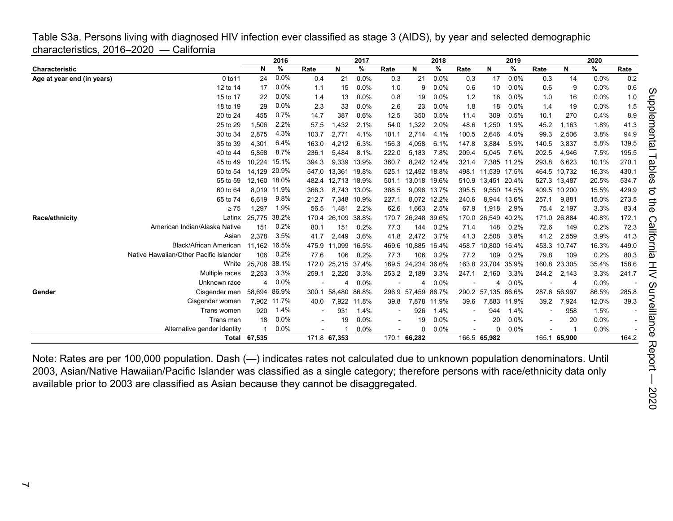<span id="page-6-0"></span>Table S3a. Persons living with diagnosed HIV infection ever classified as stage 3 (AIDS), by year and selected demographic characteristics, 2016–2020 — California

|                            |                                        |              | 2016    |       |                    | 2017        |                          |                    | 2018        |                          |                    | 2019        |                |              | 2020  |       |
|----------------------------|----------------------------------------|--------------|---------|-------|--------------------|-------------|--------------------------|--------------------|-------------|--------------------------|--------------------|-------------|----------------|--------------|-------|-------|
| Characteristic             |                                        | N            | %       | Rate  | N                  | %           | Rate                     | N                  | %           | Rate                     | N                  | %           | Rate           | N            | %     | Rate  |
| Age at year end (in years) | 0 to 11                                | 24           | 0.0%    | 0.4   | 21                 | 0.0%        | 0.3                      | 21                 | 0.0%        | 0.3                      | 17                 | 0.0%        | 0.3            | 14           | 0.0%  | 0.2   |
|                            | 12 to 14                               | 17           | 0.0%    | 1.1   | 15                 | 0.0%        | 1.0                      | 9                  | 0.0%        | 0.6                      | 10                 | 0.0%        | 0.6            | 9            | 0.0%  | 0.6   |
|                            | 15 to 17                               | 22           | 0.0%    | 1.4   | 13                 | 0.0%        | 0.8                      | 19                 | 0.0%        | 1.2                      | 16                 | 0.0%        | 1.0            | 16           | 0.0%  | 1.0   |
|                            | 18 to 19                               | 29           | 0.0%    | 2.3   | 33                 | 0.0%        | 2.6                      | 23                 | 0.0%        | 1.8                      | 18                 | 0.0%        | 1.4            | 19           | 0.0%  | 1.5   |
|                            | 20 to 24                               | 455          | 0.7%    | 14.7  | 387                | 0.6%        | 12.5                     | 350                | 0.5%        | 11.4                     | 309                | 0.5%        | 10.1           | 270          | 0.4%  | 8.9   |
|                            | 25 to 29                               | 1,506        | 2.2%    | 57.5  | 1,432              | 2.1%        | 54.0                     | 1,322              | 2.0%        | 48.6                     | .250               | 1.9%        | 45.2           | 1,163        | 1.8%  | 41.3  |
|                            | 30 to 34                               | 2,875        | 4.3%    | 103.7 | 2,771              | 4.1%        | 101.1                    | 2,714              | 4.1%        | 100.5                    | 2,646              | 4.0%        | 99.3           | 2,506        | 3.8%  | 94.9  |
|                            | 35 to 39                               | 4,301        | 6.4%    | 163.0 | 4,212              | 6.3%        | 156.3                    | 4,058              | 6.1%        | 147.8                    | 3,884              | 5.9%        | 140.5          | 3,837        | 5.8%  | 139.5 |
|                            | 40 to 44                               | 5.858        | 8.7%    | 236.1 | 5,484              | 8.1%        | 222.0                    | 5,183              | 7.8%        | 209.4                    | 5,045              | 7.6%        | 202.5          | 4,946        | 7.5%  | 195.5 |
|                            | 45 to 49                               | 10.224       | 15.1%   | 394.3 | 9.339              | 13.9%       | 360.7                    |                    | 8.242 12.4% | 321.4                    | 7.385              | 11.2%       | 293.8          | 6.623        | 10.1% | 270.1 |
|                            | 50 to 54                               | 14.129       | 20.9%   | 547.0 | 13,361             | 19.8%       | 525.1                    | 12,492 18.8%       |             | 498.1                    | 11,539 17.5%       |             |                | 464.5 10,732 | 16.3% | 430.1 |
|                            | 55 to 59                               | 12,160 18.0% |         | 482.4 | 12,713 18.9%       |             |                          | 501.1 13,018 19.6% |             | 510.9                    | 13,451 20.4%       |             | 527.3 13,487   |              | 20.5% | 534.7 |
|                            | 60 to 64                               | 8.019        | 11.9%   | 366.3 | 8.743              | 13.0%       | 388.5                    |                    | 9,096 13.7% | 395.5                    |                    | 9,550 14.5% |                | 409.5 10,200 | 15.5% | 429.9 |
|                            | 65 to 74                               | 6.619        | 9.8%    | 212.7 |                    | 7,348 10.9% | 227.1                    |                    | 8,072 12.2% | 240.6                    |                    | 8,944 13.6% | 257.1          | 9,881        | 15.0% | 273.5 |
|                            | $\geq 75$                              | 1,297        | 1.9%    | 56.5  | 1.481              | 2.2%        | 62.6                     | 1.663              | 2.5%        | 67.9                     | 1,918              | 2.9%        | 75.4           | 2,197        | 3.3%  | 83.4  |
| Race/ethnicity             | Latinx                                 | 25.775       | 38.2%   | 170.4 | 26,109             | 38.8%       | 170.7                    | 26,248             | 39.6%       | 170.0                    | 26,549             | 40.2%       |                | 171.0 26,884 | 40.8% | 172.1 |
|                            | American Indian/Alaska Native          | 151          | 0.2%    | 80.1  | 151                | 0.2%        | 77.3                     | 144                | 0.2%        | 71.4                     | 148                | 0.2%        | 72.6           | 149          | 0.2%  | 72.3  |
|                            | Asian                                  | 2.378        | 3.5%    | 41.7  | 2.449              | 3.6%        | 41.8                     | 2,472              | 3.7%        | 41.3                     | 2,508              | 3.8%        | 41.2           | 2,559        | 3.9%  | 41.3  |
|                            | Black/African American                 | 11.162       | 16.5%   | 475.9 | 11.099             | 16.5%       | 469.6                    | 10,885             | 16.4%       | 458.7                    | 10.800             | 16.4%       | 453.3          | 10.747       | 16.3% | 449.0 |
|                            | Native Hawaiian/Other Pacific Islander | 106          | 0.2%    | 77.6  | 106                | 0.2%        | 77.3                     | 106                | 0.2%        | 77.2                     | 109                | 0.2%        | 79.8           | 109          | 0.2%  | 80.3  |
|                            | White                                  | 25.706       | 38.1%   |       | 172.0 25,215 37.4% |             |                          | 169.5 24,234 36.6% |             |                          | 163.8 23,704 35.9% |             |                | 160.8 23,305 | 35.4% | 158.6 |
|                            | Multiple races                         | 2,253        | 3.3%    | 259.1 | 2,220              | 3.3%        | 253.2                    | 2,189              | 3.3%        | 247.1                    | 2,160              | 3.3%        | 244.2          | 2,143        | 3.3%  | 241.7 |
|                            | Unknown race                           |              | $0.0\%$ |       | Δ                  | 0.0%        |                          |                    | 0.0%        |                          |                    | $0.0\%$     |                | 4            | 0.0%  |       |
| Gender                     | Cisgender men                          | 58.694       | 86.9%   | 300.1 | 58,480             | 86.8%       | 296.9                    | 57,459             | 86.7%       |                          | 290.2 57,135 86.6% |             |                | 287.6 56,997 | 86.5% | 285.8 |
|                            | Cisgender women                        | 7.902        | 11.7%   | 40.0  | 7,922              | 11.8%       | 39.8                     | 7,878              | 11.9%       | 39.6                     |                    | 7,883 11.9% | 39.2           | 7,924        | 12.0% | 39.3  |
|                            | Trans women                            | 920          | 1.4%    |       | 931                | 1.4%        |                          | 926                | 1.4%        |                          | 944                | 1.4%        |                | 958          | 1.5%  |       |
|                            | Trans men                              | 18           | 0.0%    |       | 19                 | 0.0%        | $\overline{\phantom{a}}$ | 19                 | 0.0%        | $\overline{\phantom{a}}$ | 20                 | 0.0%        | $\blacksquare$ | 20           | 0.0%  |       |
|                            | Alternative gender identity            |              | 0.0%    |       |                    | 0.0%        |                          | ŋ                  | 0.0%        |                          | $\Omega$           | 0.0%        |                |              | 0.0%  |       |
|                            |                                        | Total 67,535 |         |       | 171.8 67,353       |             |                          | 170.1 66,282       |             |                          | 166.5 65,982       |             |                | 165.1 65,900 |       | 164.2 |

Note: Rates are per 100,000 population. Dash (—) indicates rates not calculated due to unknown population denominators. Until 2003, Asian/Native Hawaiian/Pacific Islander was classified as a single category; therefore persons with race/ethnicity data only available prior to 2003 are classified as Asian because they cannot be disaggregated.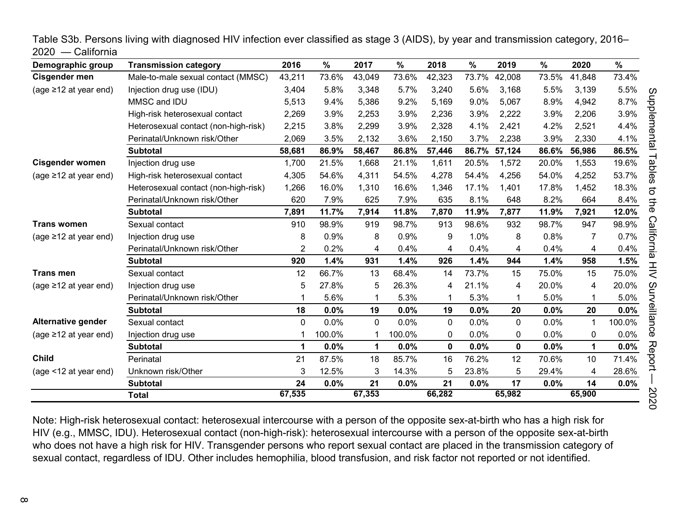| Demographic group           | <b>Transmission category</b>         | 2016           | $\frac{0}{0}$ | 2017   | %      | 2018        | $\frac{0}{0}$ | 2019        | %     | 2020        | %      |
|-----------------------------|--------------------------------------|----------------|---------------|--------|--------|-------------|---------------|-------------|-------|-------------|--------|
| Cisgender men               | Male-to-male sexual contact (MMSC)   | 43,211         | 73.6%         | 43,049 | 73.6%  | 42,323      | 73.7%         | 42,008      | 73.5% | 41,848      | 73.4%  |
| (age $\geq$ 12 at year end) | Injection drug use (IDU)             | 3,404          | 5.8%          | 3,348  | 5.7%   | 3,240       | 5.6%          | 3,168       | 5.5%  | 3,139       | 5.5%   |
|                             | MMSC and IDU                         | 5,513          | 9.4%          | 5,386  | 9.2%   | 5,169       | 9.0%          | 5,067       | 8.9%  | 4,942       | 8.7%   |
|                             | High-risk heterosexual contact       | 2,269          | 3.9%          | 2,253  | 3.9%   | 2,236       | 3.9%          | 2,222       | 3.9%  | 2,206       | 3.9%   |
|                             | Heterosexual contact (non-high-risk) | 2,215          | 3.8%          | 2,299  | 3.9%   | 2,328       | 4.1%          | 2,421       | 4.2%  | 2,521       | 4.4%   |
|                             | Perinatal/Unknown risk/Other         | 2,069          | 3.5%          | 2,132  | 3.6%   | 2,150       | 3.7%          | 2,238       | 3.9%  | 2,330       | 4.1%   |
|                             | <b>Subtotal</b>                      | 58,681         | 86.9%         | 58,467 | 86.8%  | 57,446      | 86.7%         | 57,124      | 86.6% | 56,986      | 86.5%  |
| <b>Cisgender women</b>      | Injection drug use                   | 1,700          | 21.5%         | 1,668  | 21.1%  | 1,611       | 20.5%         | 1,572       | 20.0% | 1,553       | 19.6%  |
| (age $\geq$ 12 at year end) | High-risk heterosexual contact       | 4,305          | 54.6%         | 4,311  | 54.5%  | 4,278       | 54.4%         | 4,256       | 54.0% | 4,252       | 53.7%  |
|                             | Heterosexual contact (non-high-risk) | 1,266          | 16.0%         | 1,310  | 16.6%  | 1,346       | 17.1%         | 1,401       | 17.8% | 1,452       | 18.3%  |
|                             | Perinatal/Unknown risk/Other         | 620            | 7.9%          | 625    | 7.9%   | 635         | 8.1%          | 648         | 8.2%  | 664         | 8.4%   |
|                             | <b>Subtotal</b>                      | 7,891          | 11.7%         | 7,914  | 11.8%  | 7,870       | 11.9%         | 7,877       | 11.9% | 7,921       | 12.0%  |
| <b>Trans women</b>          | Sexual contact                       | 910            | 98.9%         | 919    | 98.7%  | 913         | 98.6%         | 932         | 98.7% | 947         | 98.9%  |
| (age $\geq$ 12 at year end) | Injection drug use                   | 8              | 0.9%          | 8      | 0.9%   | 9           | 1.0%          | 8           | 0.8%  | 7           | 0.7%   |
|                             | Perinatal/Unknown risk/Other         | $\overline{2}$ | 0.2%          | 4      | 0.4%   | 4           | 0.4%          | 4           | 0.4%  | 4           | 0.4%   |
|                             | <b>Subtotal</b>                      | 920            | 1.4%          | 931    | 1.4%   | 926         | 1.4%          | 944         | 1.4%  | 958         | 1.5%   |
| <b>Trans men</b>            | Sexual contact                       | 12             | 66.7%         | 13     | 68.4%  | 14          | 73.7%         | 15          | 75.0% | 15          | 75.0%  |
| (age ≥12 at year end)       | Injection drug use                   | 5              | 27.8%         | 5      | 26.3%  | 4           | 21.1%         | 4           | 20.0% | 4           | 20.0%  |
|                             | Perinatal/Unknown risk/Other         | 1              | 5.6%          |        | 5.3%   |             | 5.3%          | 1           | 5.0%  | 1           | 5.0%   |
|                             | <b>Subtotal</b>                      | 18             | 0.0%          | 19     | 0.0%   | 19          | 0.0%          | 20          | 0.0%  | 20          | 0.0%   |
| Alternative gender          | Sexual contact                       | 0              | 0.0%          | 0      | 0.0%   | $\mathbf 0$ | 0.0%          | 0           | 0.0%  | 1           | 100.0% |
| (age $\geq$ 12 at year end) | Injection drug use                   |                | 100.0%        |        | 100.0% | 0           | 0.0%          | 0           | 0.0%  | $\mathbf 0$ | 0.0%   |
|                             | <b>Subtotal</b>                      | 1              | 0.0%          | 1      | 0.0%   | 0           | 0.0%          | $\mathbf 0$ | 0.0%  | 1           | 0.0%   |
| <b>Child</b>                | Perinatal                            | 21             | 87.5%         | 18     | 85.7%  | 16          | 76.2%         | 12          | 70.6% | 10          | 71.4%  |
| (age <12 at year end)       | Unknown risk/Other                   | 3              | 12.5%         | 3      | 14.3%  | 5           | 23.8%         | 5           | 29.4% | 4           | 28.6%  |
|                             | <b>Subtotal</b>                      | 24             | 0.0%          | 21     | 0.0%   | 21          | 0.0%          | 17          | 0.0%  | 14          | 0.0%   |
|                             | <b>Total</b>                         | 67,535         |               | 67,353 |        | 66,282      |               | 65,982      |       | 65,900      |        |

<span id="page-7-0"></span>Table S3b. Persons living with diagnosed HIV infection ever classified as stage 3 (AIDS), by year and transmission category, 2016– 2020 — California

Note: High-risk heterosexual contact: heterosexual intercourse with a person of the opposite sex-at-birth who has a high risk for HIV (e.g., MMSC, IDU). Heterosexual contact (non-high-risk): heterosexual intercourse with a person of the opposite sex-at-birth who does not have a high risk for HIV. Transgender persons who report sexual contact are placed in the transmission category of sexual contact, regardless of IDU. Other includes hemophilia, blood transfusion, and risk factor not reported or not identified.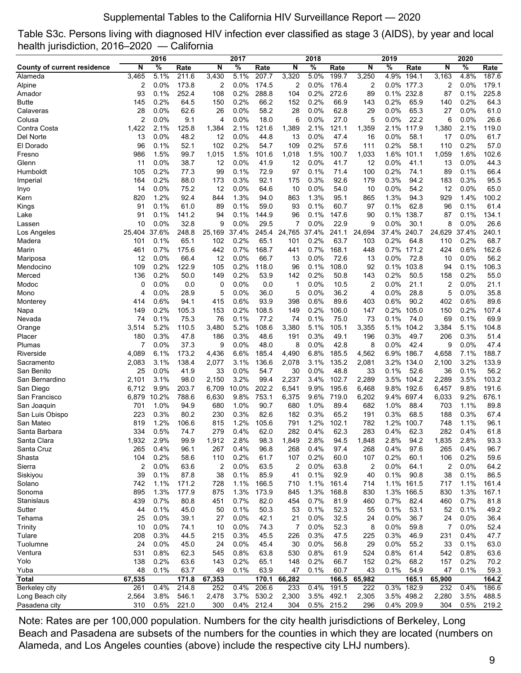## Supplemental Tables to the California HIV Surveillance Report — 2020

<span id="page-8-0"></span>

|  | Table S3c. Persons living with diagnosed HIV infection ever classified as stage 3 (AIDS), by year and local |  |  |  |
|--|-------------------------------------------------------------------------------------------------------------|--|--|--|
|  | health jurisdiction, 2016–2020 — California                                                                 |  |  |  |

|                                    |                | 2016          |                |                | 2017         |                |                | 2018         |                |                | 2019          |                |                | 2020         |                |
|------------------------------------|----------------|---------------|----------------|----------------|--------------|----------------|----------------|--------------|----------------|----------------|---------------|----------------|----------------|--------------|----------------|
| <b>County of current residence</b> | N              | $\frac{1}{6}$ | Rate           | N              | %            | Rate           | N              | %            | Rate           | N              | $\frac{1}{6}$ | Rate           | N              | %            | Rate           |
| Alameda                            | 3,465          | 5.1%          | 211.6          | 3,430          | 5.1%         | 207.7          | 3,320          | 5.0%         | 199.7          | 3,250          | 4.9%          | 194.1          | 3,163          | 4.8%         | 187.6          |
| Alpine                             | 2              | 0.0%          | 173.8          | $\overline{c}$ | 0.0%         | 174.5          | 2              | 0.0%         | 176.4          | $\overline{c}$ | 0.0%          | 177.3          | 2              | 0.0%         | 179.1          |
| Amador                             | 93             | 0.1%          | 252.4          | 108            | 0.2%         | 288.8          | 104            | 0.2%         | 272.6          | 89             | 0.1%          | 232.8          | 87             | 0.1%         | 225.8          |
| Butte                              | 145            | 0.2%          | 64.5           | 150            | 0.2%         | 66.2           | 152            | 0.2%         | 66.9           | 143            | 0.2%          | 65.9           | 140            | 0.2%         | 64.3           |
| Calaveras                          | 28             | 0.0%          | 62.6           | 26             | 0.0%         | 58.2           | 28             | 0.0%         | 62.8           | 29             | 0.0%          | 65.3           | 27             | $0.0\%$      | 61.0           |
| Colusa                             | 2              | 0.0%          | 9.1            | 4              | 0.0%         | 18.0           | 6              | 0.0%         | 27.0           | 5              | 0.0%          | 22.2           | 6              | 0.0%         | 26.6           |
| Contra Costa                       | 1,422          | 2.1%          | 125.8          | 1,384          | 2.1%         | 121.6          | 1,389          | 2.1%         | 121.1          | 1,359          | 2.1%          | 117.9          | 1,380          | 2.1%         | 119.0          |
| Del Norte                          | 13             | 0.0%          | 48.2           | 12             | 0.0%         | 44.8           | 13             | 0.0%         | 47.4           | 16             | $0.0\%$       | 58.1           | 17             | $0.0\%$      | 61.7           |
| El Dorado                          | 96             | 0.1%          | 52.1           | 102            | 0.2%         | 54.7           | 109            | 0.2%         | 57.6           | 111            | 0.2%          | 58.1           | 110            | 0.2%         | 57.0           |
| Fresno                             | 986            | 1.5%          | 99.7           | 1,015          | 1.5%         | 101.6          | 1,018          | 1.5%         | 100.7          | 1,033          | 1.6%          | 101.1          | 1,059          | 1.6%         | 102.6          |
| Glenn                              | 11             | 0.0%          | 38.7           | 12             | 0.0%         | 41.9           | 12             | 0.0%         | 41.7           | 12             | 0.0%          | 41.1           | 13             | 0.0%         | 44.3           |
| Humboldt                           | 105            | 0.2%          | 77.3           | 99             | 0.1%         | 72.9           | 97             | 0.1%         | 71.4           | 100            | 0.2%          | 74.1           | 89             | 0.1%         | 66.4           |
| Imperial                           | 164            | 0.2%          | 88.0           | 173            | 0.3%         | 92.1           | 175            | 0.3%         | 92.6           | 179            | 0.3%          | 94.2           | 183            | 0.3%         | 95.5           |
| Inyo                               | 14             | 0.0%          | 75.2           | 12             | 0.0%         | 64.6           | 10             | 0.0%         | 54.0           | 10             | 0.0%          | 54.2           | 12             | 0.0%         | 65.0           |
| Kern                               | 820            | 1.2%          | 92.4           | 844            | 1.3%         | 94.0           | 863            | 1.3%         | 95.1           | 865            | 1.3%          | 94.3           | 929            | 1.4%         | 100.2          |
| Kings                              | 91             | 0.1%          | 61.0           | 89             | 0.1%         | 59.0           | 93             | 0.1%         | 60.7           | 97             | 0.1%          | 62.8           | 96             | 0.1%         | 61.4           |
| Lake                               | 91             | 0.1%          | 141.2          | 94             | 0.1%         | 144.9          | 96             | 0.1%         | 147.6          | 90             | 0.1%          | 138.7          | 87             | 0.1%         | 134.1          |
| Lassen                             | 10             | 0.0%          | 32.8           | 9              | 0.0%         | 29.5           | 7              | 0.0%         | 22.9           | 9              | 0.0%          | 30.1           | 8              | $0.0\%$      | 26.6           |
| Los Angeles                        | 25,404         | 37.6%         | 248.8          | 25,169         | 37.4%        | 245.4          | 24,765         | 37.4%        | 241.1          | 24,694         | 37.4%         | 240.7          | 24,629         | 37.4%        | 240.1          |
| Madera                             | 101            | 0.1%          | 65.1           | 102            | 0.2%         | 65.1           | 101            | 0.2%         | 63.7           | 103            | 0.2%          | 64.8           | 110            | 0.2%         | 68.7           |
| Marin                              | 461            | 0.7%          | 175.6          | 442            | 0.7%         | 168.7          | 441            | 0.7%         | 168.1          | 448            | 0.7%          | 171.2          | 424            | 0.6%         | 162.6          |
| Mariposa                           | 12             | 0.0%          | 66.4           | 12             | 0.0%         | 66.7           | 13             | 0.0%         | 72.6           | 13             | 0.0%          | 72.8           | 10             | 0.0%         | 56.2           |
| Mendocino                          | 109            | 0.2%          | 122.9          | 105            | 0.2%         | 118.0          | 96             | 0.1%         | 108.0          | 92             | 0.1%          | 103.8          | 94             | 0.1%         | 106.3          |
| Merced                             | 136            | 0.2%          | 50.0           | 149            | 0.2%         | 53.9           | 142            | 0.2%         | 50.8           | 143            | 0.2%          | 50.5           | 158            | 0.2%         | 55.0           |
| Modoc                              | 0              | 0.0%          | 0.0            | 0              | 0.0%         | 0.0            | 1              | 0.0%         | 10.5           | 2              | 0.0%          | 21.1           | 2              | $0.0\%$      | 21.1           |
| Mono                               | 4              | 0.0%          | 28.9           | 5              | 0.0%         | 36.0           | 5              | 0.0%         | 36.2           | 4              | 0.0%          | 28.8           | 5              | 0.0%         | 35.8           |
| Monterey                           | 414            | 0.6%          | 94.1           | 415            | 0.6%         | 93.9           | 398            | 0.6%         | 89.6           | 403            | 0.6%          | 90.2           | 402            | 0.6%         | 89.6           |
| Napa                               | 149            | 0.2%          | 105.3          | 153            | 0.2%         | 108.5          | 149            | 0.2%         | 106.0          | 147            | $0.2\%$       | 105.0          | 150            | 0.2%         | 107.4          |
| Nevada                             | 74             | 0.1%          | 75.3           | 76             | 0.1%         | 77.2           | 74             | 0.1%         | 75.0           | 73             | 0.1%          | 74.0           | 69             | 0.1%         | 69.9           |
| Orange                             | 3,514          | 5.2%          | 110.5          | 3,480          | 5.2%         | 108.6          | 3,380          | 5.1%         | 105.1          | 3,355          | 5.1%          | 104.2          | 3,384          | 5.1%         | 104.8          |
| Placer                             | 180            | 0.3%          | 47.8           | 186            | 0.3%         | 48.6           | 191            | 0.3%         | 49.1           | 196            | 0.3%          | 49.7           | 206            | 0.3%         | 51.4           |
| Plumas                             | 7              | 0.0%          | 37.3           | 9              | 0.0%         | 48.0           | 8              | 0.0%         | 42.8           | 8              | 0.0%          | 42.4           | 9              | 0.0%         | 47.4           |
| Riverside                          | 4,089<br>2,083 | 6.1%<br>3.1%  | 173.2<br>138.4 | 4,436<br>2,077 | 6.6%<br>3.1% | 185.4<br>136.6 | 4,490<br>2,078 | 6.8%<br>3.1% | 185.5<br>135.2 | 4,562<br>2,081 | 6.9%<br>3.2%  | 186.7<br>134.0 | 4,658          | 7.1%<br>3.2% | 188.7<br>133.9 |
| Sacramento<br>San Benito           | 25             | 0.0%          | 41.9           | 33             | $0.0\%$      | 54.7           | 30             | $0.0\%$      | 48.8           | 33             | 0.1%          | 52.6           | 2,100<br>36    | 0.1%         | 56.2           |
| San Bernardino                     | 2,101          | 3.1%          | 98.0           | 2,150          | 3.2%         | 99.4           | 2,237          | 3.4%         | 102.7          | 2,289          | 3.5%          | 104.2          | 2,289          | 3.5%         | 103.2          |
| San Diego                          | 6,712          | 9.9%          | 203.7          | 6,709          | 10.0%        | 202.2          | 6,541          | 9.9%         | 195.6          | 6,468          | 9.8%          | 192.6          | 6,457          | 9.8%         | 191.6          |
| San Francisco                      | 6,879          | 10.2%         | 788.6          | 6,630          | 9.8%         | 753.1          | 6,375          | 9.6%         | 719.0          | 6,202          | 9.4%          | 697.4          | 6,033          | 9.2%         | 676.1          |
| San Joaquin                        | 701            | 1.0%          | 94.9           | 680            | 1.0%         | 90.7           | 680            | 1.0%         | 89.4           | 682            | 1.0%          | 88.4           | 703            | 1.1%         | 89.8           |
| San Luis Obispo                    | 223            | 0.3%          | 80.2           | 230            | 0.3%         | 82.6           | 182            | 0.3%         | 65.2           | 191            | 0.3%          | 68.5           | 188            | 0.3%         | 67.4           |
| San Mateo                          | 819            | 1.2%          | 106.6          | 815            | 1.2%         | 105.6          | 791            | 1.2%         | 102.1          | 782            | 1.2%          | 100.7          | 748            | 1.1%         | 96.1           |
| Santa Barbara                      | 334            | 0.5%          | 74.7           | 279            | 0.4%         | 62.0           | 282            | 0.4%         | 62.3           | 283            | 0.4%          | 62.3           | 282            | 0.4%         | 61.8           |
| Santa Clara                        | 1,932          | 2.9%          | 99.9           | 1,912          | 2.8%         | 98.3           | 1,849          | 2.8%         | 94.5           | 1,848          | 2.8%          | 94.2           | 1,835          | 2.8%         | 93.3           |
| Santa Cruz                         | 265            | 0.4%          | 96.1           | 267            | 0.4%         | 96.8           | 268            | 0.4%         | 97.4           | 268            | 0.4%          | 97.6           | 265            | 0.4%         | 96.7           |
| Shasta                             | 104            | 0.2%          | 58.6           | 110            | 0.2%         | 61.7           | 107            | 0.2%         | 60.0           | 107            | 0.2%          | 60.1           | 106            | 0.2%         | 59.6           |
| Sierra                             | 2              | 0.0%          | 63.6           | $\overline{c}$ | 0.0%         | 63.5           | 2              | 0.0%         | 63.8           | 2              | 0.0%          | 64.1           | $\overline{c}$ | 0.0%         | 64.2           |
| Siskiyou                           | 39             | 0.1%          | 87.8           | 38             | 0.1%         | 85.9           | 41             | 0.1%         | 92.9           | 40             | 0.1%          | 90.8           | 38             | 0.1%         | 86.5           |
| Solano                             | 742            | 1.1%          | 171.2          | 728            | 1.1%         | 166.5          | 710            | 1.1%         | 161.4          | 714            |               | 1.1% 161.5     | 717            | 1.1%         | 161.4          |
| Sonoma                             | 895            | 1.3%          | 177.9          | 875            | 1.3%         | 173.9          | 845            | 1.3%         | 168.8          | 830            |               | 1.3% 166.5     | 830            | 1.3%         | 167.1          |
| Stanislaus                         | 439            | 0.7%          | 80.8           | 451            | 0.7%         | 82.0           | 454            | 0.7%         | 81.9           | 460            | 0.7%          | 82.4           | 460            | 0.7%         | 81.8           |
| Sutter                             | 44             | 0.1%          | 45.0           | 50             | 0.1%         | 50.3           | 53             | 0.1%         | 52.3           | 55             | 0.1%          | 53.1           | 52             | 0.1%         | 49.2           |
| Tehama                             | 25             | 0.0%          | 39.1           | 27             | 0.0%         | 42.1           | 21             | 0.0%         | 32.5           | 24             | 0.0%          | 36.7           | 24             | 0.0%         | 36.4           |
| Trinity                            | 10             | 0.0%          | 74.1           | 10             | 0.0%         | 74.3           | $\overline{7}$ | 0.0%         | 52.3           | 8              | 0.0%          | 59.8           | 7              | 0.0%         | 52.4           |
| Tulare                             | 208            | 0.3%          | 44.5           | 215            | 0.3%         | 45.5           | 226            | 0.3%         | 47.5           | 225            | 0.3%          | 46.9           | 231            | 0.4%         | 47.7           |
| Tuolumne                           | 24             | 0.0%          | 45.0           | 24             | 0.0%         | 45.4           | 30             | 0.0%         | 56.8           | 29             | 0.0%          | 55.2           | 33             | 0.1%         | 63.0           |
| Ventura                            | 531            | 0.8%          | 62.3           | 545            | 0.8%         | 63.8           | 530            | 0.8%         | 61.9           | 524            | 0.8%          | 61.4           | 542            | 0.8%         | 63.6           |
| Yolo                               | 138            | 0.2%          | 63.6           | 143            | 0.2%         | 65.1           | 148            | 0.2%         | 66.7           | 152            | 0.2%          | 68.2           | 157            | 0.2%         | 70.2           |
| Yuba                               | 48             | 0.1%          | 63.7           | 49             | 0.1%         | 63.9           | 47             | 0.1%         | 60.7           | 43             | 0.1%          | 54.9           | 47             | 0.1%         | 59.3           |
| <b>Total</b>                       | 67,535         |               | 171.8          | 67,353         |              | 170.1          | 66,282         |              | 166.5          | 65,982         |               | 165.1          | 65,900         |              | 164.2          |
| Berkeley city                      | 261            | 0.4%          | 214.8          | 252            | 0.4%         | 206.6          | 233            | 0.4%         | 191.5          | 222            |               | 0.3% 182.9     | 232            | 0.4%         | 186.6          |
| Long Beach city                    | 2,564          | 3.8%          | 546.1          | 2,478          | 3.7%         | 530.2          | 2,300          | 3.5%         | 492.1          | 2,305          |               | 3.5% 498.2     | 2,280          | 3.5%         | 488.5          |
| Pasadena city                      | 310            | 0.5%          | 221.0          | 300            |              | 0.4% 212.4     | 304            |              | 0.5% 215.2     | 296            |               | 0.4% 209.9     | 304            | 0.5%         | 219.2          |

Note: Rates are per 100,000 population. Numbers for the city health jurisdictions of Berkeley, Long Beach and Pasadena are subsets of the numbers for the counties in which they are located (numbers on Alameda, and Los Angeles counties (above) include the respective city LHJ numbers).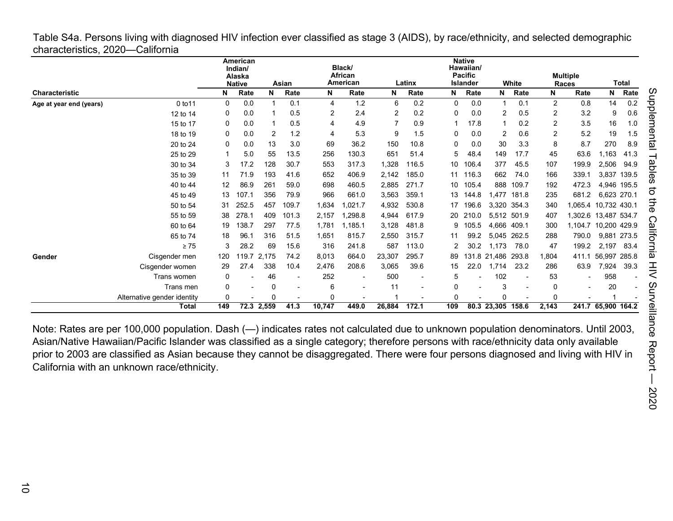<span id="page-9-0"></span>Table S4a. Persons living with diagnosed HIV infection ever classified as stage 3 (AIDS), by race/ethnicity, and selected demographic characteristics, 2020—California

|                         |                             |              | American<br>Indian/<br>Alaska<br><b>Native</b> |            | Asian                    |             | Black/<br>African<br>American |                | Latinx |     | <b>Native</b><br>Hawaiian/<br><b>Pacific</b><br><b>Islander</b> |                   | White |          | <b>Multiple</b><br>Races |                    | <b>Total</b> |
|-------------------------|-----------------------------|--------------|------------------------------------------------|------------|--------------------------|-------------|-------------------------------|----------------|--------|-----|-----------------------------------------------------------------|-------------------|-------|----------|--------------------------|--------------------|--------------|
| <b>Characteristic</b>   |                             | N            | Rate                                           | N          | Rate                     | N           | Rate                          | N              | Rate   | N   | Rate                                                            | N                 | Rate  | N        | Rate                     | N                  | Rate         |
| Age at year end (years) | 0 to 11                     | $\mathbf{0}$ | 0.0                                            |            | 0.1                      | 4           | 1.2                           | 6              | 0.2    | 0   | 0.0                                                             |                   | 0.1   | 2        | 0.8                      | 14                 | 0.2          |
|                         | 12 to 14                    | 0            | 0.0                                            |            | 0.5                      | 2           | 2.4                           | 2              | 0.2    | 0   | 0.0                                                             | 2                 | 0.5   | 2        | 3.2                      | 9                  | 0.6          |
|                         | 15 to 17                    | 0            | 0.0                                            |            | 0.5                      | 4           | 4.9                           | $\overline{7}$ | 0.9    | 1   | 17.8                                                            |                   | 0.2   | 2        | 3.5                      | 16                 | 1.0          |
|                         | 18 to 19                    | 0            | 0.0                                            | 2          | 1.2                      | 4           | 5.3                           | 9              | 1.5    | 0   | 0.0                                                             | 2                 | 0.6   | 2        | 5.2                      | 19                 | 1.5          |
|                         | 20 to 24                    | 0            | 0.0                                            | 13         | 3.0                      | 69          | 36.2                          | 150            | 10.8   | 0   | 0.0                                                             | 30                | 3.3   | 8        | 8.7                      | 270                | 8.9          |
|                         | 25 to 29                    |              | 5.0                                            | 55         | 13.5                     | 256         | 130.3                         | 651            | 51.4   | 5   | 48.4                                                            | 149               | 17.7  | 45       | 63.6                     | 1.163              | 41.3         |
|                         | 30 to 34                    | 3            | 17.2                                           | 128        | 30.7                     | 553         | 317.3                         | 1,328          | 116.5  | 10  | 106.4                                                           | 377               | 45.5  | 107      | 199.9                    | 2,506              | 94.9         |
|                         | 35 to 39                    | 11           | 71.9                                           | 193        | 41.6                     | 652         | 406.9                         | 2.142          | 185.0  | 11  | 116.3                                                           | 662               | 74.0  | 166      | 339.1                    | 3,837              | 139.5        |
|                         | 40 to 44                    | 12           | 86.9                                           | 261        | 59.0                     | 698         | 460.5                         | 2,885          | 271.7  | 10  | 105.4                                                           | 888               | 109.7 | 192      | 472.3                    |                    | 4,946 195.5  |
|                         | 45 to 49                    | 13           | 107.1                                          | 356        | 79.9                     | 966         | 661.0                         | 3,563          | 359.1  | 13  | 144.8                                                           | 1,477             | 181.8 | 235      | 681.2                    | 6,623 270.1        |              |
|                         | 50 to 54                    | 31           | 252.5                                          | 457        | 109.7                    | 1,634       | ,021.7                        | 4,932          | 530.8  | 17  | 196.6                                                           | 3,320 354.3       |       | 340      | 1,065.4                  | 10,732 430.1       |              |
|                         | 55 to 59                    | 38           | 278.1                                          | 409        | 101.3                    | 2,157       | ,298.8                        | 4,944          | 617.9  | 20  | 210.0                                                           | 5,512 501.9       |       | 407      | 1,302.6                  | 13,487 534.7       |              |
|                         | 60 to 64                    | 19           | 138.7                                          | 297        | 77.5                     | 1.781       | .185.1                        | 3,128          | 481.8  | 9   | 105.5                                                           | 4,666             | 409.1 | 300      | 1.104.7                  | 10,200 429.9       |              |
|                         | 65 to 74                    | 18           | 96.                                            | 316        | 51.5                     | 1,651       | 815.7                         | 2,550          | 315.7  | 11  | 99.2                                                            | 5.045             | 262.5 | 288      | 790.0                    | 9,881              | 273.5        |
|                         | $\geq 75$                   | 3            | 28.2                                           | 69         | 15.6                     | 316         | 241.8                         | 587            | 113.0  | 2   | 30.2                                                            | 1,173             | 78.0  | 47       | 199.2                    | 2,197              | 83.4         |
| Gender                  | Cisgender men               | 120          | 119.7                                          | 2,175      | 74.2                     | 8,013       | 664.0                         | 23,307         | 295.7  | 89  | 131.8                                                           | 21,486            | 293.8 | 1,804    | 411.1                    | 56,997             | 285.8        |
|                         | Cisgender women             | 29           | 27.4                                           | 338        | 10.4                     | 2,476       | 208.6                         | 3,065          | 39.6   | 15  | 22.0                                                            | 1,714             | 23.2  | 286      | 63.9                     | 7,924              | 39.3         |
|                         | Trans women                 | 0            |                                                | 46         |                          | 252         | $\overline{\phantom{a}}$      | 500            |        | 5   |                                                                 | 102               |       | 53       |                          | 958                |              |
|                         | Trans men                   | 0            |                                                | 0          | $\overline{\phantom{a}}$ | 6           | $\overline{\phantom{0}}$      | 11             |        | 0   |                                                                 | 3                 |       | 0        |                          | 20                 |              |
|                         | Alternative gender identity | $\Omega$     |                                                | O          |                          | $\mathbf 0$ |                               |                |        | U   |                                                                 | O                 |       | $\Omega$ |                          |                    |              |
|                         | Total                       | 149          |                                                | 72.3 2,559 | 41.3                     | 10,747      | 449.0                         | 26,884         | 172.1  | 109 |                                                                 | 80.3 23,305 158.6 |       | 2,143    |                          | 241.7 65,900 164.2 |              |

Note: Rates are per 100,000 population. Dash (—) indicates rates not calculated due to unknown population denominators. Until 2003, Asian/Native Hawaiian/Pacific Islander was classified as a single category; therefore persons with race/ethnicity data only available prior to 2003 are classified as Asian because they cannot be disaggregated. There were four persons diagnosed and living with HIV in California with an unknown race/ethnicity.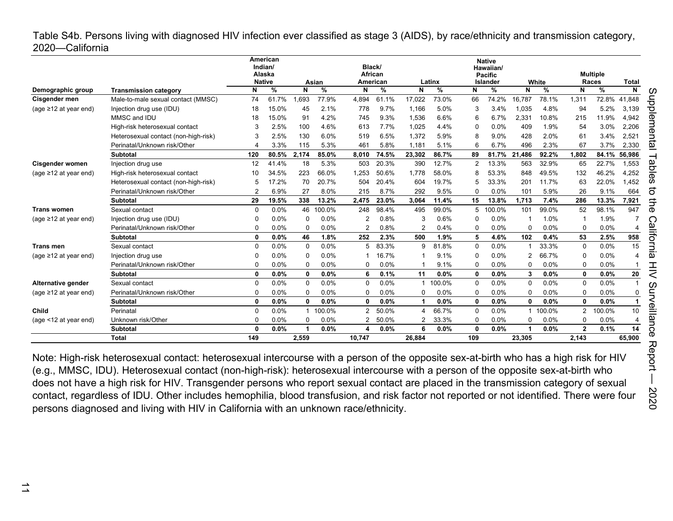<span id="page-10-0"></span>Table S4b. Persons living with diagnosed HIV infection ever classified as stage 3 (AIDS), by race/ethnicity and transmission category, 2020—California

|                             |                                      |              | American<br>Indian/<br>Alaska<br><b>Native</b><br>%<br>N<br>N |              |            |                | Black/<br>African |                |             |              | <b>Native</b><br>Hawaiian/<br><b>Pacific</b> |              |            |                | <b>Multiple</b> |                |    |
|-----------------------------|--------------------------------------|--------------|---------------------------------------------------------------|--------------|------------|----------------|-------------------|----------------|-------------|--------------|----------------------------------------------|--------------|------------|----------------|-----------------|----------------|----|
|                             |                                      |              |                                                               |              | Asian<br>% |                | American          | N              | Latinx<br>% | N            | Islander<br>%                                | N            | White<br>% | N              | Races           | <b>Total</b>   |    |
| Demographic group           | <b>Transmission category</b>         |              |                                                               |              |            | N              | %                 |                |             |              |                                              |              |            |                | %               | N              | U  |
| Cisgender men               | Male-to-male sexual contact (MMSC)   | 74           | 61.7%                                                         | 1,693        | 77.9%      | 4,894          | 61.1%             | 17,022         | 73.0%       | 66           | 74.2%                                        | 16,787       | 78.1%      | 1,311          | 72.8%           | 41,848         | đ  |
| (age $\geq$ 12 at year end) | Injection drug use (IDU)             | 18           | 15.0%                                                         | 45           | 2.1%       | 778            | 9.7%              | 1,166          | 5.0%        | 3            | 3.4%                                         | 1,035        | 4.8%       | 94             | 5.2%            | 3,139          | P  |
|                             | MMSC and IDU                         | 18           | 15.0%                                                         | 91           | 4.2%       | 745            | 9.3%              | 1,536          | 6.6%        | 6            | 6.7%                                         | 2,33'        | 10.8%      | 215            | 11.9%           | 4,942          | መ  |
|                             | High-risk heterosexual contact       | 3            | 2.5%                                                          | 100          | 4.6%       | 613            | 7.7%              | 1,025          | 4.4%        | $\Omega$     | 0.0%                                         | 409          | 1.9%       | 54             | 3.0%            | 2,206          |    |
|                             | Heterosexual contact (non-high-risk) | 3            | 2.5%                                                          | 130          | 6.0%       | 519            | 6.5%              | 1,372          | 5.9%        | 8            | 9.0%                                         | 428          | 2.0%       | 61             | 3.4%            | 2,521          |    |
|                             | Perinatal/Unknown risk/Other         |              | 3.3%                                                          | 115          | 5.3%       | 461            | 5.8%              | 1.181          | 5.1%        | 6            | 6.7%                                         | 496          | 2.3%       | 67             | 3.7%            | 2,330          | ឆ  |
|                             | Subtotal                             | 120          | 80.5%                                                         | 2,174        | 85.0%      | 8,010          | 74.5%             | 23,302         | 86.7%       | 89           | 81.7%                                        | 21,486       | 92.2%      | 1,802          | 84.1%           | 56,986         |    |
| Cisgender women             | Injection drug use                   | 12           | 41.4%                                                         | 18           | 5.3%       | 503            | 20.3%             | 390            | 12.7%       | 2            | 13.3%                                        | 563          | 32.9%      | 65             | 22.7%           | 1,553          | gε |
| (age $\geq$ 12 at year end) | High-risk heterosexual contact       | 10           | 34.5%                                                         | 223          | 66.0%      | 1.253          | 50.6%             | 1.778          | 58.0%       | 8            | 53.3%                                        | 848          | 49.5%      | 132            | 46.2%           | 4,252          |    |
|                             | Heterosexual contact (non-high-risk) | 5            | 17.2%                                                         | 70           | 20.7%      | 504            | 20.4%             | 604            | 19.7%       | 5            | 33.3%                                        | 201          | 11.7%      | 63             | 22.0%           | 1,452          | S  |
|                             | Perinatal/Unknown risk/Other         |              | 6.9%                                                          | 27           | 8.0%       | 215            | 8.7%              | 292            | 9.5%        | 0            | 0.0%                                         | 101          | 5.9%       | 26             | 9.1%            | 664            | ධි |
|                             | Subtotal                             | 29           | 19.5%                                                         | 338          | 13.2%      | 2.475          | 23.0%             | 3.064          | 11.4%       | 15           | 13.8%                                        | 1.713        | 7.4%       | 286            | 13.3%           | 7,921          | −  |
| <b>Trans women</b>          | Sexual contact                       | $\Omega$     | 0.0%                                                          | 46           | 100.0%     | 248            | 98.4%             | 495            | 99.0%       | 5            | 100.0%                                       | 101          | 99.0%      | 52             | 98.1%           | 947            | Φ  |
| (age $\geq$ 12 at year end) | Injection drug use (IDU)             | 0            | 0.0%                                                          | $\Omega$     | 0.0%       | $\overline{2}$ | 0.8%              | 3              | 0.6%        | 0            | 0.0%                                         |              | 1.0%       |                | 1.9%            |                |    |
|                             | Perinatal/Unknown risk/Other         | $\Omega$     | 0.0%                                                          | $\Omega$     | 0.0%       | $\overline{2}$ | 0.8%              | $\overline{2}$ | 0.4%        | $\Omega$     | 0.0%                                         |              | 0.0%       | 0              | 0.0%            | $\overline{4}$ | ω  |
|                             | <b>Subtotal</b>                      | 0            | 0.0%                                                          | 46           | 1.8%       | 252            | 2.3%              | 500            | 1.9%        | 5            | 4.6%                                         | 102          | 0.4%       | 53             | 2.5%            | 958            | ā  |
| <b>Trans men</b>            | Sexual contact                       | $\Omega$     | 0.0%                                                          | $\Omega$     | 0.0%       | 5              | 83.3%             | 9              | 81.8%       | $\Omega$     | 0.0%                                         |              | 33.3%      | $\mathbf 0$    | 0.0%            | 15             |    |
| (age $\geq$ 12 at year end) | Injection drug use                   | 0            | 0.0%                                                          | $\Omega$     | 0.0%       |                | 16.7%             |                | 9.1%        | 0            | 0.0%                                         |              | 66.7%      | $\mathbf 0$    | 0.0%            | $\overline{4}$ | ω  |
|                             | Perinatal/Unknown risk/Other         | 0            | 0.0%                                                          | $\Omega$     | 0.0%       | $\Omega$       | 0.0%              |                | 9.1%        | $\Omega$     | 0.0%                                         |              | 0.0%       | 0              | 0.0%            |                |    |
|                             | Subtotal                             | $\mathbf{0}$ | 0.0%                                                          | $\mathbf{0}$ | 0.0%       | 6              | 0.1%              | 11             | 0.0%        | $\mathbf{0}$ | 0.0%                                         | 3            | 0.0%       | $\mathbf{0}$   | 0.0%            | 20             |    |
| Alternative gender          | Sexual contact                       | $\Omega$     | 0.0%                                                          | $\Omega$     | 0.0%       | $\Omega$       | 0.0%              |                | 100.0%      | $\Omega$     | 0.0%                                         | $\Omega$     | 0.0%       | $\Omega$       | 0.0%            |                |    |
| (age $\geq$ 12 at year end) | Perinatal/Unknown risk/Other         | 0            | 0.0%                                                          | $\Omega$     | 0.0%       | 0              | 0.0%              | $\Omega$       | 0.0%        | $\Omega$     | 0.0%                                         |              | 0.0%       | 0              | 0.0%            | 0              |    |
|                             | Subtotal                             | $\mathbf{0}$ | 0.0%                                                          | $\mathbf{0}$ | 0.0%       | $\mathbf 0$    | 0.0%              |                | 0.0%        | $\mathbf{0}$ | 0.0%                                         | $\mathbf{0}$ | 0.0%       | $\mathbf{0}$   | 0.0%            | 1              | መ  |
| Child                       | Perinatal                            | $\Omega$     | 0.0%                                                          | 1            | 100.0%     | $\overline{2}$ | 50.0%             | 4              | 66.7%       | $\Omega$     | 0.0%                                         |              | 100.0%     | $\overline{2}$ | 100.0%          | 10             |    |
| (age <12 at year end)       | Unknown risk/Other                   | 0            | 0.0%                                                          | $\Omega$     | 0.0%       | 2              | 50.0%             | 2              | 33.3%       | $\Omega$     | 0.0%                                         | $\Omega$     | 0.0%       | $\Omega$       | 0.0%            | $\overline{4}$ | ω  |
|                             | <b>Subtotal</b>                      | 0            | 0.0%                                                          |              | 0.0%       |                | $0.0\%$           | 6              | 0.0%        | $\mathbf{0}$ | 0.0%                                         |              | 0.0%       | $\overline{2}$ | 0.1%            | 14             | റ  |
|                             | <b>Total</b>                         | 149          |                                                               | 2,559        |            | 10,747         |                   | 26,884         |             | 109          |                                              | 23,305       |            | 2,143          |                 | 65,900         | ወ  |

Note: High-risk heterosexual contact: heterosexual intercourse with a person of the opposite sex-at-birth who has a high risk for HIV (e.g., MMSC, IDU). Heterosexual contact (non-high-risk): heterosexual intercourse with a person of the opposite sex-at-birth who does not have a high risk for HIV. Transgender persons who report sexual contact are placed in the transmission category of sexual contact, regardless of IDU. Other includes hemophilia, blood transfusion, and risk factor not reported or not identified. There were four persons diagnosed and living with HIV in California with an unknown race/ethnicity.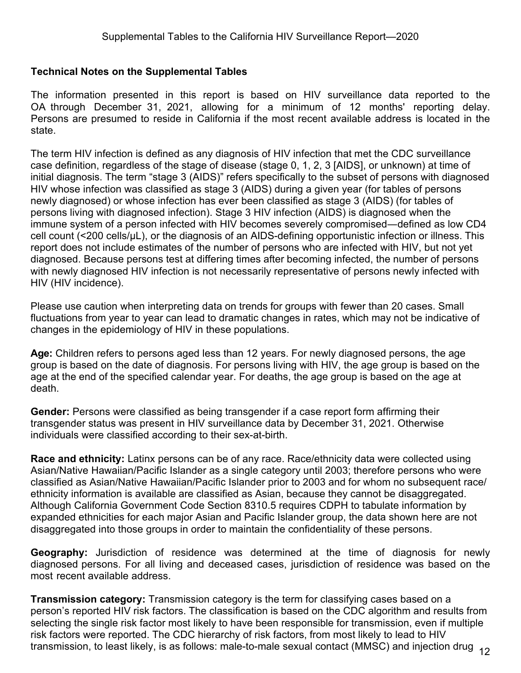## <span id="page-11-0"></span>**Technical Notes on the Supplemental Tables**

The information presented in this report is based on HIV surveillance data reported to the OA through December 31, 2021, allowing for a minimum of 12 months' reporting delay. Persons are presumed to reside in California if the most recent available address is located in the state.

The term HIV infection is defined as any diagnosis of HIV infection that met the CDC surveillance case definition, regardless of the stage of disease (stage 0, 1, 2, 3 [AIDS], or unknown) at time of initial diagnosis. The term "stage 3 (AIDS)" refers specifically to the subset of persons with diagnosed HIV whose infection was classified as stage 3 (AIDS) during a given year (for tables of persons newly diagnosed) or whose infection has ever been classified as stage 3 (AIDS) (for tables of persons living with diagnosed infection). Stage 3 HIV infection (AIDS) is diagnosed when the immune system of a person infected with HIV becomes severely compromised―defined as low CD4 cell count (<200 cells/µL), or the diagnosis of an AIDS-defining opportunistic infection or illness. This report does not include estimates of the number of persons who are infected with HIV, but not yet diagnosed. Because persons test at differing times after becoming infected, the number of persons with newly diagnosed HIV infection is not necessarily representative of persons newly infected with HIV (HIV incidence).

Please use caution when interpreting data on trends for groups with fewer than 20 cases. Small fluctuations from year to year can lead to dramatic changes in rates, which may not be indicative of changes in the epidemiology of HIV in these populations.

**Age:** Children refers to persons aged less than 12 years. For newly diagnosed persons, the age group is based on the date of diagnosis. For persons living with HIV, the age group is based on the age at the end of the specified calendar year. For deaths, the age group is based on the age at death.

**Gender:** Persons were classified as being transgender if a case report form affirming their transgender status was present in HIV surveillance data by December 31, 2021. Otherwise individuals were classified according to their sex-at-birth.

**Race and ethnicity:** Latinx persons can be of any race. Race/ethnicity data were collected using Asian/Native Hawaiian/Pacific Islander as a single category until 2003; therefore persons who were classified as Asian/Native Hawaiian/Pacific Islander prior to 2003 and for whom no subsequent race/ ethnicity information is available are classified as Asian, because they cannot be disaggregated. Although California Government Code Section 8310.5 requires CDPH to tabulate information by expanded ethnicities for each major Asian and Pacific Islander group, the data shown here are not disaggregated into those groups in order to maintain the confidentiality of these persons.

**Geography:** Jurisdiction of residence was determined at the time of diagnosis for newly diagnosed persons. For all living and deceased cases, jurisdiction of residence was based on the most recent available address.

**Transmission category:** Transmission category is the term for classifying cases based on a person's reported HIV risk factors. The classification is based on the CDC algorithm and results from selecting the single risk factor most likely to have been responsible for transmission, even if multiple risk factors were reported. The CDC hierarchy of risk factors, from most likely to lead to HIV transmission, to least likely, is as follows: male-to-male sexual contact (MMSC) and injection drug 12